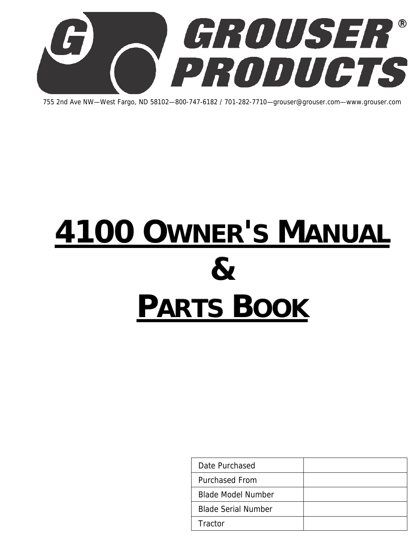

755 2nd Ave NW—West Fargo, ND 58102—800-747-6182 / 701-282-7710—grouser@grouser.com—www.grouser.com

# **4100 OWNER'S MANUAL & PARTS BOOK**

| Date Purchased             |  |
|----------------------------|--|
| <b>Purchased From</b>      |  |
| <b>Blade Model Number</b>  |  |
| <b>Blade Serial Number</b> |  |
| Tractor                    |  |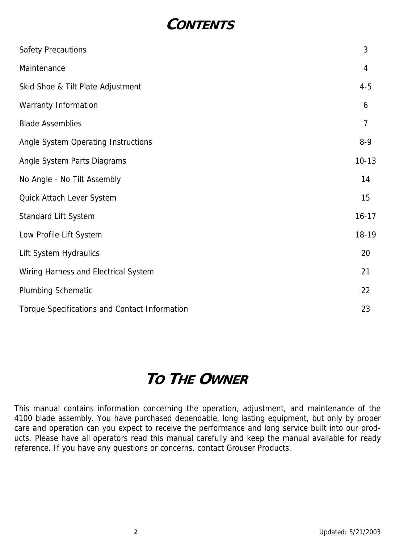## **CONTENTS**

| <b>Safety Precautions</b>                     | 3              |
|-----------------------------------------------|----------------|
| Maintenance                                   | 4              |
| Skid Shoe & Tilt Plate Adjustment             | $4 - 5$        |
| Warranty Information                          | 6              |
| <b>Blade Assemblies</b>                       | $\overline{7}$ |
| Angle System Operating Instructions           | $8 - 9$        |
| Angle System Parts Diagrams                   | $10-13$        |
| No Angle - No Tilt Assembly                   | 14             |
| Quick Attach Lever System                     | 15             |
| Standard Lift System                          | $16 - 17$      |
| Low Profile Lift System                       | 18-19          |
| Lift System Hydraulics                        | 20             |
| Wiring Harness and Electrical System          | 21             |
| <b>Plumbing Schematic</b>                     | 22             |
| Torque Specifications and Contact Information | 23             |

# **TO THE OWNER**

This manual contains information concerning the operation, adjustment, and maintenance of the 4100 blade assembly. You have purchased dependable, long lasting equipment, but only by proper care and operation can you expect to receive the performance and long service built into our products. Please have all operators read this manual carefully and keep the manual available for ready reference. If you have any questions or concerns, contact Grouser Products.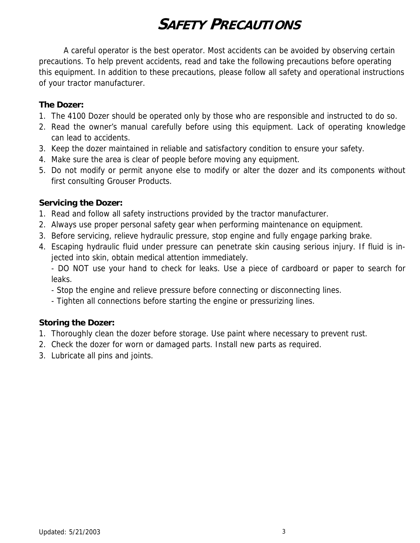# **SAFETY PRECAUTIONS**

 A careful operator is the best operator. Most accidents can be avoided by observing certain precautions. To help prevent accidents, read and take the following precautions before operating this equipment. In addition to these precautions, please follow all safety and operational instructions of your tractor manufacturer.

#### **The Dozer:**

- 1. The 4100 Dozer should be operated only by those who are responsible and instructed to do so.
- 2. Read the owner's manual carefully before using this equipment. Lack of operating knowledge can lead to accidents.
- 3. Keep the dozer maintained in reliable and satisfactory condition to ensure your safety.
- 4. Make sure the area is clear of people before moving any equipment.
- 5. Do not modify or permit anyone else to modify or alter the dozer and its components without first consulting Grouser Products.

#### **Servicing the Dozer:**

- 1. Read and follow all safety instructions provided by the tractor manufacturer.
- 2. Always use proper personal safety gear when performing maintenance on equipment.
- 3. Before servicing, relieve hydraulic pressure, stop engine and fully engage parking brake.
- 4. Escaping hydraulic fluid under pressure can penetrate skin causing serious injury. If fluid is injected into skin, obtain medical attention immediately.

 - DO NOT use your hand to check for leaks. Use a piece of cardboard or paper to search for leaks.

- Stop the engine and relieve pressure before connecting or disconnecting lines.
- Tighten all connections before starting the engine or pressurizing lines.

#### **Storing the Dozer:**

- 1. Thoroughly clean the dozer before storage. Use paint where necessary to prevent rust.
- 2. Check the dozer for worn or damaged parts. Install new parts as required.
- 3. Lubricate all pins and joints.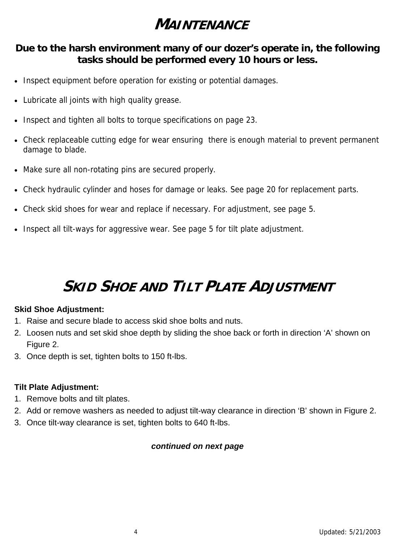# **MAINTENANCE**

#### **Due to the harsh environment many of our dozer's operate in, the following tasks should be performed every 10 hours or less.**

- Inspect equipment before operation for existing or potential damages.
- Lubricate all joints with high quality grease.
- Inspect and tighten all bolts to torque specifications on page 23.
- Check replaceable cutting edge for wear ensuring there is enough material to prevent permanent damage to blade.
- Make sure all non-rotating pins are secured properly.
- Check hydraulic cylinder and hoses for damage or leaks. See page 20 for replacement parts.
- Check skid shoes for wear and replace if necessary. For adjustment, see page 5.
- Inspect all tilt-ways for aggressive wear. See page 5 for tilt plate adjustment.

# **SKID SHOE AND TILT PLATE ADJUSTMENT**

#### **Skid Shoe Adjustment:**

- 1. Raise and secure blade to access skid shoe bolts and nuts.
- 2. Loosen nuts and set skid shoe depth by sliding the shoe back or forth in direction 'A' shown on Figure 2.
- 3. Once depth is set, tighten bolts to 150 ft-lbs.

#### **Tilt Plate Adjustment:**

- 1. Remove bolts and tilt plates.
- 2. Add or remove washers as needed to adjust tilt-way clearance in direction 'B' shown in Figure 2.
- 3. Once tilt-way clearance is set, tighten bolts to 640 ft-lbs.

#### *continued on next page*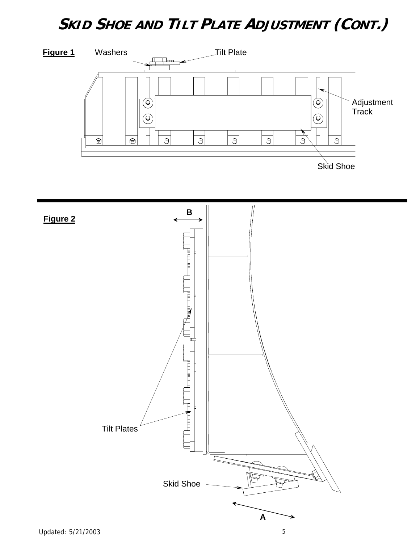# **SKID SHOE AND TILT PLATE ADJUSTMENT (CONT.)**



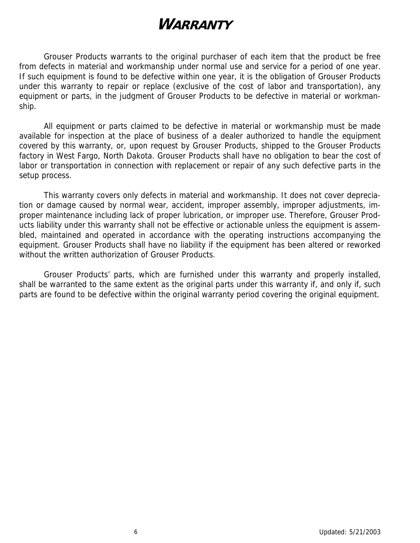# **WARRANTY**

 Grouser Products warrants to the original purchaser of each item that the product be free from defects in material and workmanship under normal use and service for a period of one year. If such equipment is found to be defective within one year, it is the obligation of Grouser Products under this warranty to repair or replace (exclusive of the cost of labor and transportation), any equipment or parts, in the judgment of Grouser Products to be defective in material or workmanship.

 All equipment or parts claimed to be defective in material or workmanship must be made available for inspection at the place of business of a dealer authorized to handle the equipment covered by this warranty, or, upon request by Grouser Products, shipped to the Grouser Products factory in West Fargo, North Dakota. Grouser Products shall have no obligation to bear the cost of labor or transportation in connection with replacement or repair of any such defective parts in the setup process.

 This warranty covers only defects in material and workmanship. It does not cover depreciation or damage caused by normal wear, accident, improper assembly, improper adjustments, improper maintenance including lack of proper lubrication, or improper use. Therefore, Grouser Products liability under this warranty shall not be effective or actionable unless the equipment is assembled, maintained and operated in accordance with the operating instructions accompanying the equipment. Grouser Products shall have no liability if the equipment has been altered or reworked without the written authorization of Grouser Products.

 Grouser Products' parts, which are furnished under this warranty and properly installed, shall be warranted to the same extent as the original parts under this warranty if, and only if, such parts are found to be defective within the original warranty period covering the original equipment.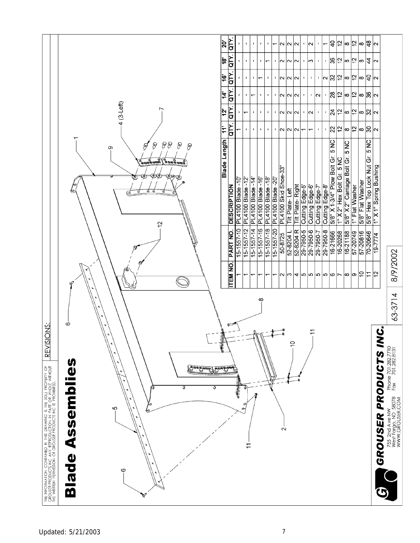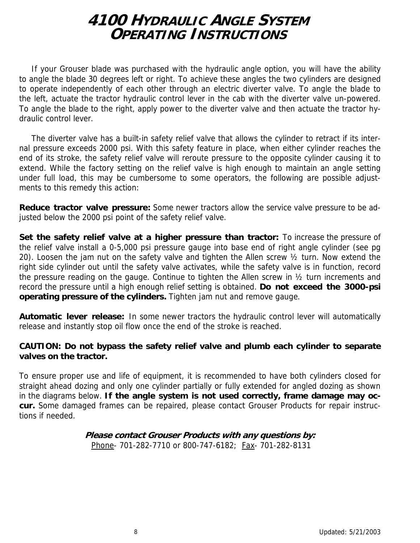### **4100 HYDRAULIC ANGLE SYSTEM OPERATING INSTRUCTIONS**

If your Grouser blade was purchased with the hydraulic angle option, you will have the ability to angle the blade 30 degrees left or right. To achieve these angles the two cylinders are designed to operate independently of each other through an electric diverter valve. To angle the blade to the left, actuate the tractor hydraulic control lever in the cab with the diverter valve un-powered. To angle the blade to the right, apply power to the diverter valve and then actuate the tractor hydraulic control lever.

The diverter valve has a built-in safety relief valve that allows the cylinder to retract if its internal pressure exceeds 2000 psi. With this safety feature in place, when either cylinder reaches the end of its stroke, the safety relief valve will reroute pressure to the opposite cylinder causing it to extend. While the factory setting on the relief valve is high enough to maintain an angle setting under full load, this may be cumbersome to some operators, the following are possible adjustments to this remedy this action:

**Reduce tractor valve pressure:** Some newer tractors allow the service valve pressure to be adjusted below the 2000 psi point of the safety relief valve.

**Set the safety relief valve at a higher pressure than tractor:** To increase the pressure of the relief valve install a 0-5,000 psi pressure gauge into base end of right angle cylinder (see pg 20). Loosen the jam nut on the safety valve and tighten the Allen screw ½ turn. Now extend the right side cylinder out until the safety valve activates, while the safety valve is in function, record the pressure reading on the gauge. Continue to tighten the Allen screw in ½ turn increments and record the pressure until a high enough relief setting is obtained. **Do not exceed the 3000-psi operating pressure of the cylinders.** Tighten jam nut and remove gauge.

**Automatic lever release:** In some newer tractors the hydraulic control lever will automatically release and instantly stop oil flow once the end of the stroke is reached.

#### **CAUTION: Do not bypass the safety relief valve and plumb each cylinder to separate valves on the tractor.**

To ensure proper use and life of equipment, it is recommended to have both cylinders closed for straight ahead dozing and only one cylinder partially or fully extended for angled dozing as shown in the diagrams below. **If the angle system is not used correctly, frame damage may occur.** Some damaged frames can be repaired, please contact Grouser Products for repair instructions if needed.

#### **Please contact Grouser Products with any questions by:**  Phone- 701-282-7710 or 800-747-6182; Fax- 701-282-8131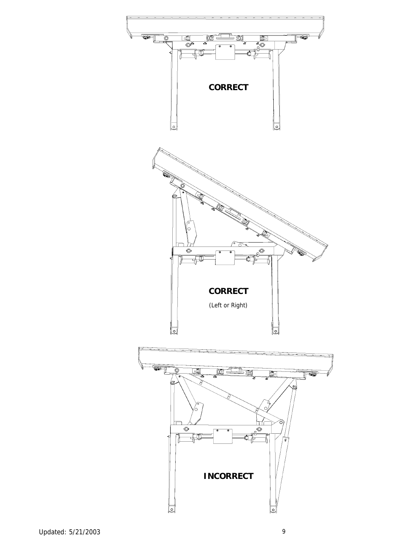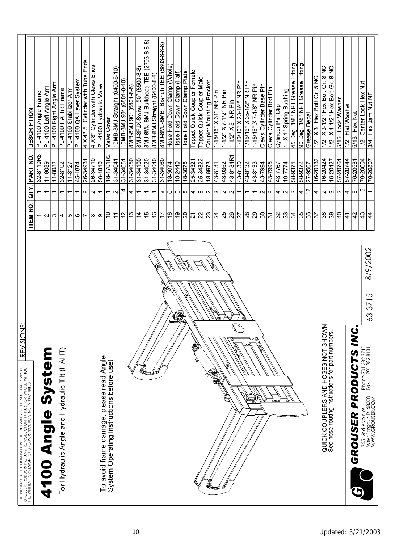| SIS<br>ONS:<br><b>REVISI</b><br>the information contained in this drawing is the sole property of the wind of the same of the sole and the win<br>The writer persistion and security and the same of the wind of |                               |                          |                        |                                                |
|------------------------------------------------------------------------------------------------------------------------------------------------------------------------------------------------------------------|-------------------------------|--------------------------|------------------------|------------------------------------------------|
|                                                                                                                                                                                                                  | <b>ITEM NO.</b>               | QTY.                     | PART NO.               | <b>DESCRIPTION</b>                             |
|                                                                                                                                                                                                                  |                               |                          | 32-8110R8              | PL4100 Angle Frame                             |
| 4100 Angle Syste                                                                                                                                                                                                 | $\mathbf{\Omega}$             | $\overline{\phantom{0}}$ | 11-9039                | PL-4100 Left Angle Arm                         |
|                                                                                                                                                                                                                  | S                             | $\overline{\phantom{0}}$ | 11-8082                | PL-4100 Right Angle Arm                        |
| For Hydraulic Angle and Hydraulic Tilt (HAHT)                                                                                                                                                                    | 4                             | $\overline{ }$           | 32-8102                | PL4100 HA Tilt Frame                           |
|                                                                                                                                                                                                                  | l LO                          | $\overline{\phantom{0}}$ | $\frac{11-8127}{2}$    | PL4100 Stabilizer Arm                          |
|                                                                                                                                                                                                                  | ဖ                             | $\overline{\phantom{0}}$ | 45-1874                | PL4100 QA Lever System                         |
|                                                                                                                                                                                                                  | Z                             | Z                        | 26-34931               | 4 X 43.5" Cylinder with Tube Ends              |
|                                                                                                                                                                                                                  | œ                             | $\sim$                   | 26-34710               | 4 X 8" Cylinder with Clevis Ends               |
| To avoid frame damage, please read Angle                                                                                                                                                                         | တ                             | $\overline{\phantom{0}}$ | 56-1810                | PL4100 Hydraulic Valve                         |
| System Operating Instructions before use!                                                                                                                                                                        | င                             | $\overline{\phantom{0}}$ | $\frac{18-1701}{22}$   | Valve Cover                                    |
|                                                                                                                                                                                                                  | $\tilde{\tau}$                | $\sim$                   | 31-34041               | 10MB-8MJ Straight (6400-8-10)                  |
|                                                                                                                                                                                                                  | $\frac{5}{2}$                 | 4                        | 31-34051               | 10MB-8MJ90° (6801-8-10)                        |
|                                                                                                                                                                                                                  | 13                            | 4                        | 31-34050               | 8MB-8MJ90° (6801-8-8)                          |
|                                                                                                                                                                                                                  | $\overline{4}$                | $\overline{\phantom{0}}$ | 31-34100               | 8MJ-8FJX Swivel 90° (6500-8-8)                 |
|                                                                                                                                                                                                                  | $\frac{5}{1}$                 | $\overline{\phantom{0}}$ | 31-34020               | 8MJ-8MJ-8MJ Bulkhead TEE (2703-8-8-8)          |
|                                                                                                                                                                                                                  | 9                             | $\overline{\phantom{0}}$ | 31-34040               | 8MB-8MJ Straight (6400-8-8)                    |
|                                                                                                                                                                                                                  | 17                            | $\sim$                   | 31-34060               | 8MJ-8MJ-8MB Branch TEE (6803-8-8-8)            |
|                                                                                                                                                                                                                  | ő                             | $\circ$                  | 18-3074                | Hose Hold Down Clamp (Whole)                   |
| R                                                                                                                                                                                                                | $\overline{e}$                | $ m $ ထ                  | 18-2440                | Hose Hold Down Clamp (Half)                    |
|                                                                                                                                                                                                                  | $\overline{5}$                |                          | 18-3075                | Hose Hold Down Clamp Plate                     |
| ١                                                                                                                                                                                                                | $ \vec{z} $                   | 4                        | $25 - 34321$           | Tappet Quick Coupler Female                    |
| ó.                                                                                                                                                                                                               | z                             | $\infty$                 | 25-34322               | Tappet Quick Coupler Male                      |
|                                                                                                                                                                                                                  | $\overline{23}$               | $\sim$                   | 18-8973                | Coupler Mounting Bracket                       |
| N.                                                                                                                                                                                                               |                               |                          | $43-8131$              | 1-15/16" X 31" NR Pin                          |
|                                                                                                                                                                                                                  | $ \frac{1}{2} \mathcal{R} $ ର | N N N                    | 43-9352                | 1-1/2" X7-1/2" NR Pin                          |
|                                                                                                                                                                                                                  |                               |                          | 43-8134R1              | 1-1/2" X8" NR Pin                              |
| $\mathcal{G}$                                                                                                                                                                                                    | $\overline{5}$                | $\overline{\phantom{0}}$ | 43-8130                | 1-15/16" X 23-1/4" NR Pin                      |
|                                                                                                                                                                                                                  | $\overline{\mathcal{Z}}$      | $\overline{\phantom{0}}$ | 43-8132                | 1/15/16" X 35-1/2" NR Pin                      |
|                                                                                                                                                                                                                  |                               | $\overline{\phantom{0}}$ | 43-8133                | 1-15/16" X7-1/8" NR Pin                        |
|                                                                                                                                                                                                                  | $ S  \approx 2$               | N N                      | 43-7994                | Clevis Cylinder Base Pin                       |
|                                                                                                                                                                                                                  |                               |                          | 43-7995                | Clevis Cylinder Rod Pin                        |
|                                                                                                                                                                                                                  | ္က                            | 4                        | 43-7767                | Cylinder Pin Clip                              |
|                                                                                                                                                                                                                  | ္က                            | $\sim$                   | 19-7774                | 1" X 1" Spring Bushing                         |
|                                                                                                                                                                                                                  |                               | $\sim$                   | 58-9371                | Grease Fitting<br>$1/8$ " NPT<br><b>Ped</b> 5b |
|                                                                                                                                                                                                                  | ង  ඝ க                        | 4                        | 58-9372                | 1/8" NPT Grease Fitting<br>90 Deg.             |
|                                                                                                                                                                                                                  |                               | 5,                       | 27-9507                | Grease Decal                                   |
|                                                                                                                                                                                                                  | $\frac{1}{3}$                 | 4                        | $\frac{16-20132}{201}$ | 1/2" X 3" Hex Bolt Gr. 5 NC                    |
| QUICK COUPLERS AND HOSES NOT SHOWN                                                                                                                                                                               | န္က                           | lN.                      | 16-20424               | 1/2" X 3-1/2" Hex Bolt Gr. 8 NC                |
| See hose routing instructions for part numbers.                                                                                                                                                                  | ္ကူဒု                         | $\sim$ $\sim$            | 16-20427               | $\frac{1}{8}$<br>1/2" X 4-1/2" Hex Bolt Gr.    |
|                                                                                                                                                                                                                  |                               |                          | $\frac{1}{57.20761}$   | 5/16" Lock Washer                              |
|                                                                                                                                                                                                                  | $\mathbf{4}$                  | 4                        | 57 20744               | 1/2" Flat Washer                               |
| ≤<br><b>GROUSER PRODUCTS</b>                                                                                                                                                                                     | 42                            | $\infty$                 | 70-20581               | 5/16" Hex Nut                                  |
| 8/9/2002<br>Phone 701.282.7710<br>Fax 701.282.8131<br>Fax<br>755 2nd Ave NW<br>West Fargo, ND 58078<br>WWW.GROUSER.COM                                                                                           | 43                            | 46                       | 70-20604               | 1/2" Center Lock Hex Nut                       |
| 63-3715                                                                                                                                                                                                          | 4                             | $\overline{\phantom{0}}$ | 70-20807               | 3/4" Hex Jam Nut NF                            |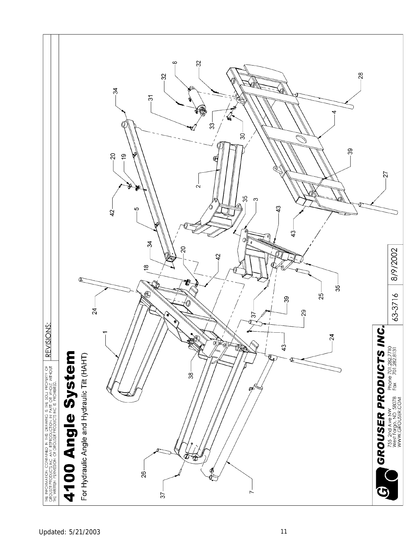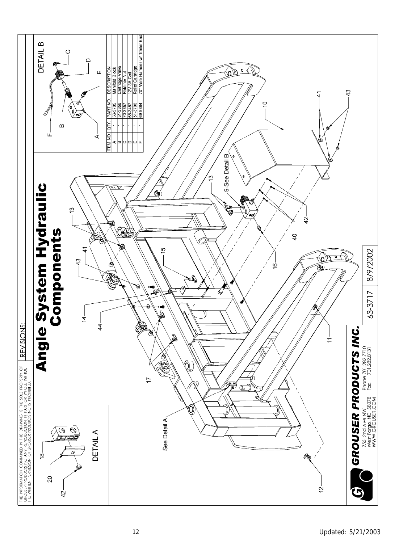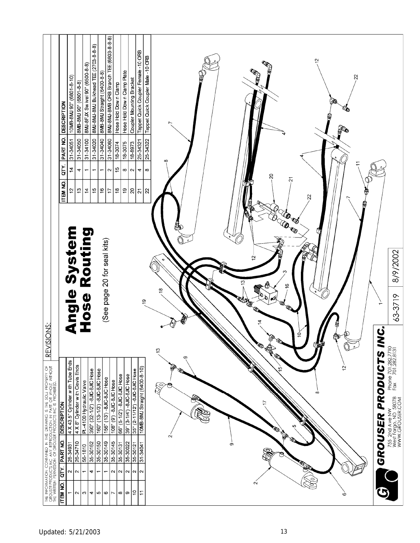|                                                                                                                                                                                                                           | <b>DESCRIPTION</b><br>PART NO.<br>QΤY.<br>ITEM NO. | 10MB-8MJ 90° (6801-8-10)<br>31-34051<br>$\ddot{a}$<br>ä | 8MB-8MJ 90° (6801-8-8)<br>31-34050<br>4<br>$\tilde{c}$      | 8MJ-8FJX Sw ivel 90° (6500-8-8)<br>$31 - 34100$<br>$\overline{\phantom{0}}$<br>$\frac{4}{4}$ | 8MJ-8MJ-8MJ Bulkhead TEE (2703-8-8-8)<br>31-34020<br>$\overline{\phantom{0}}$<br>15 | 8MJ-8MJ-8MB ORB Branch TEE (6803-8-8-8)<br>8MB-8MJ Straight (6400-8-8)<br>31-34040<br>31-34060<br>$\overline{\phantom{0}}$<br>ë<br>77 | Hose Hold Down Clamp<br>18-3074<br>$\frac{1}{2}$<br>$\sim$<br>$\frac{8}{1}$ | Hose Hold Down Clamp Plate<br>18-3075<br>$\infty$<br>ć, | Coupler Mounting Bracket<br>18-8973<br>$\sim$<br>$\rm{^{2}}$ | Tappet Quick Coupler Female - 10 ORB<br>25-34321<br>4<br>$\overline{2}$ | Tappet Quick Coupler Male - 10 ORB<br>25-34322<br>$\infty$<br>$\overline{2}$ | ā<br>22<br>∰<br>∯<br>ន<br>Ñ<br>$\mathbf{z}$<br>ġ<br><b>OB</b><br><b>LO TO</b><br>ũ                     |                                               |                                                                                                     |
|---------------------------------------------------------------------------------------------------------------------------------------------------------------------------------------------------------------------------|----------------------------------------------------|---------------------------------------------------------|-------------------------------------------------------------|----------------------------------------------------------------------------------------------|-------------------------------------------------------------------------------------|---------------------------------------------------------------------------------------------------------------------------------------|-----------------------------------------------------------------------------|---------------------------------------------------------|--------------------------------------------------------------|-------------------------------------------------------------------------|------------------------------------------------------------------------------|--------------------------------------------------------------------------------------------------------|-----------------------------------------------|-----------------------------------------------------------------------------------------------------|
|                                                                                                                                                                                                                           |                                                    | <b>Angle System</b>                                     |                                                             | Hose Routing                                                                                 |                                                                                     | (See page 20 for seal kits)                                                                                                           |                                                                             |                                                         |                                                              |                                                                         |                                                                              | $\overline{\mathbf{C}}$<br>↶<br>,<br>$\overline{6}$                                                    |                                               | 8/9/2002                                                                                            |
|                                                                                                                                                                                                                           |                                                    |                                                         |                                                             |                                                                                              |                                                                                     |                                                                                                                                       |                                                                             |                                                         |                                                              |                                                                         | ഉ                                                                            | $\frac{8}{2}$<br><b>RADA</b><br>4                                                                      |                                               | 63-3719                                                                                             |
| IONS:<br><b>REVISI</b><br>The Information Contained in this drawing is the sole property of<br>Grewster Republication and statements are the sole property of<br>Grewster Republication and spotspersodium parts or whole | DESCRIPTION                                        | 4 X 43.5" Cylinder with Tube Ends                       | 4 X 8" Cylinder with Clevis Ends<br>PL-4100 Hydraulic Valve | 390" (32-1/2") - 8JIC-8JIC Hose                                                              | 160" (13-1/3") - 8JIC-8JIC Hose                                                     | 156" (13') - 8JIC-8JIC Hose                                                                                                           | 108" (9') -8JIC-8JIC Hose                                                   | 66" (5-1/2") -8JIC-8JIC Hose                            | 39" (3 1/4") - 8JIC-8JIC Hose                                | 35" (2-11/12") -8JIC-8JIC Hose                                          | 10MB-8MJ Straight (6400-8-10)                                                | ė<br>O<br><b>ROLL CALL</b><br>ల<br>တ<br>D<br>$\ddot{5}$<br>$\frac{5}{1}$<br><b>RO</b><br>S<br>$\infty$ | $\dot{\mathbf{S}}$<br><b>GROUSER PRODUCTS</b> | Phone 701.282.7710<br>Fax 701.282.8131<br>755 2nd Ave NW<br>West Fargo, ND 58078<br>WWW.GROUSER.COM |
|                                                                                                                                                                                                                           | PART NO.                                           | 26-34931                                                | 26-34710<br>56-1810                                         | 35-30162                                                                                     | 35-30150                                                                            | 35-30149                                                                                                                              | 35-30145                                                                    | 35-30131                                                | 35-30022                                                     | 35-30121                                                                | $31 - 34041$                                                                 | ယ<br><b>RED ROAD</b><br>Ν<br>တ                                                                         |                                               |                                                                                                     |
|                                                                                                                                                                                                                           | άL,                                                | 2                                                       | $\sim$<br>᠆                                                 | 4                                                                                            |                                                                                     | $\overline{ }$                                                                                                                        | $\sim$                                                                      | $\sim$                                                  | $\sim$                                                       | $\sim$                                                                  | $\sim$                                                                       | $\circ$                                                                                                |                                               |                                                                                                     |
|                                                                                                                                                                                                                           | <b>ITEM NO.</b>                                    | ↽                                                       | S<br>$\sim$                                                 | 4                                                                                            | ю                                                                                   | ဖ                                                                                                                                     | Ľ                                                                           | œ                                                       | თ                                                            | $\frac{1}{2}$                                                           | Ξ                                                                            | $\sim$<br>Ó                                                                                            |                                               |                                                                                                     |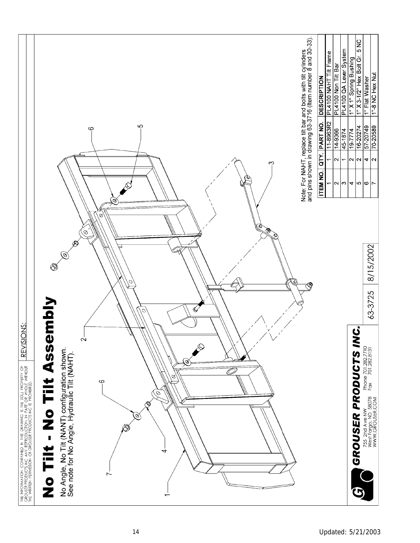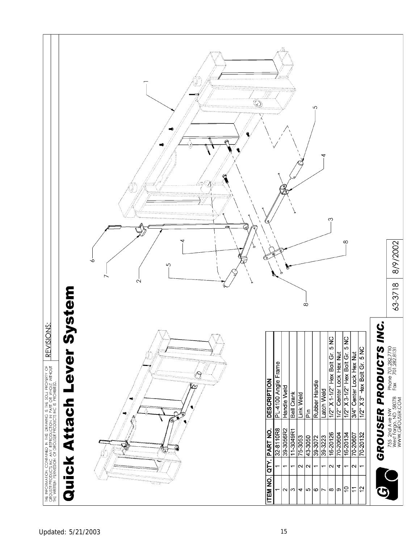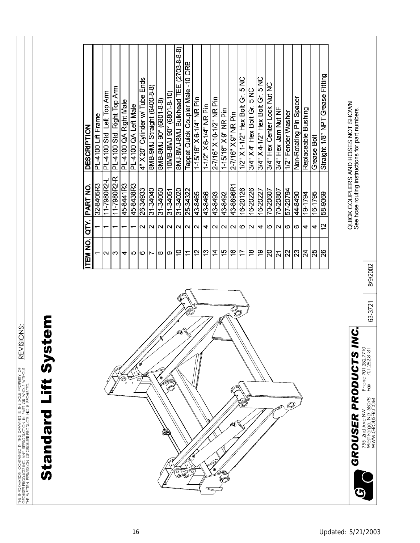|                                                                                |                                            | TEM NO.                                    | λL                       | PART NO         | <b>DESCRIPTION</b>                                                                    |  |
|--------------------------------------------------------------------------------|--------------------------------------------|--------------------------------------------|--------------------------|-----------------|---------------------------------------------------------------------------------------|--|
|                                                                                |                                            |                                            |                          | 32-8405R3       | PL4100 Lift Frame                                                                     |  |
|                                                                                |                                            |                                            | $\overline{\phantom{0}}$ | 11-7980R2-L     | PL-4100 Std. Left Top Arm                                                             |  |
|                                                                                |                                            | $\sim$  က                                  | $\overline{\phantom{0}}$ | 11-7980R2-R     | PL-4100 Std. Right Top Arm                                                            |  |
| Ô<br>$\circ$                                                                   |                                            | 4                                          | $\overline{\phantom{0}}$ | 45-8441R3       | PL-4100 QA Right Male                                                                 |  |
| U<br>$\pmb{\circ}$                                                             |                                            | စ                                          | $\overline{\phantom{0}}$ | 45-8438R3       | PL4100 QA Left Male                                                                   |  |
| Ô                                                                              |                                            | $\mathbf{\Omega}$                          |                          | 26-34933        | Ends<br>Tube<br>T<br>4" X20" Cylinder w/                                              |  |
|                                                                                |                                            | $\overline{\phantom{a}}$                   | $\sim$ $\sim$            | <b>OPORE-LE</b> | 8MB-9MJ Straight (6400-8-8)                                                           |  |
| ۰                                                                              |                                            | $\infty$                                   | $\overline{\mathsf{N}}$  | 31-34050        | 8MB-8MJ 90° (6801-8-8)                                                                |  |
| Ĉ<br>网                                                                         |                                            | တ                                          | $\overline{\mathsf{N}}$  | $31 - 34051$    |                                                                                       |  |
| P                                                                              | Ø6.                                        | S                                          | $\overline{\mathsf{N}}$  | 31-34020        | $(2703 - 8 - 8)$<br>8MJ-8MJ-8MJ Bulkhead TEE                                          |  |
|                                                                                |                                            | $\overline{1}$                             | $\overline{\mathsf{N}}$  | 25-34322        | Tappet Quick Coupler Male -10 ORB                                                     |  |
|                                                                                |                                            | 12                                         | $\sim$                   | 43-8465         | 1-15/16" X 6-1/4" NR Pin                                                              |  |
|                                                                                |                                            | $\frac{3}{2}$                              | 4                        | 43-8466         | 1-1/2" X 6-1/4" NR Pin                                                                |  |
|                                                                                |                                            | $\overline{4}$                             | $\sim$                   | 43-8493         | 2-7/16" X 10-1/2" NR Pin                                                              |  |
|                                                                                |                                            | 15                                         | $\mathbf{N}$             | 43-8492         | 1-15/16" X 9" NR Pin                                                                  |  |
| Ø                                                                              | $\overline{\mathcal{O}}_{\!\!\mathcal{O}}$ | $\frac{6}{5}$                              | $\sim$                   | 43-8896R1       | 2-7/16" X 9" NR Pin                                                                   |  |
|                                                                                |                                            | $\overline{1}$                             | ဖ                        | 16-20126        | 5 NC<br>1/2" X 1-1/2" Hex Bolt Gr.                                                    |  |
|                                                                                |                                            | $\frac{8}{1}$                              | $\sim$                   | 16-20226        | 3/4" X 4" Hex Bolt Gr. 5 NC                                                           |  |
|                                                                                |                                            | $\frac{6}{5}$                              | 4                        | 16-20227        | 3/4" X 4-1/2" Hex Bolt Gr. 5 NC                                                       |  |
|                                                                                |                                            | 20                                         | $\circ$                  | 70-20607        | 3/4" Hex Center Lock Nut NC                                                           |  |
| <b>PATED</b>                                                                   |                                            | $\overline{2}$                             | $\sim$                   | 70-20807        | 3/4" Hex Jam Nut NF                                                                   |  |
| Õ,                                                                             |                                            | 2                                          | $\circ$                  | 57-20794        | 1/2" Fender Washer                                                                    |  |
|                                                                                |                                            | $ \mathbb{S}% \mathbb{S}  \leq \mathbb{S}$ | ဖ                        | 44-8490         | Non-Rotating Pin Spacer                                                               |  |
|                                                                                |                                            | $\overline{z}$                             | 4                        | 19-1794         | Replaceable Bushing                                                                   |  |
|                                                                                |                                            | 25                                         | 4                        | 16-1795         | Grease Bolt                                                                           |  |
|                                                                                |                                            | 26                                         | 57                       | 58-9369         | Straight 1/8" NPT Grease Fitting                                                      |  |
|                                                                                |                                            |                                            |                          |                 |                                                                                       |  |
| INC.<br>GROUSER PRODUCTS                                                       |                                            |                                            |                          |                 | QUICK COUPLERS AND HOSES NOT SHOWN<br>See hose routing instructions for part numbers. |  |
|                                                                                |                                            |                                            |                          |                 |                                                                                       |  |
| Phone 701.282.771<br>755 2nd Ave NW<br>West Fargo, ND 58078<br>WWW.GROUSER.COM | 63-3721                                    | 8/9/2002                                   |                          |                 |                                                                                       |  |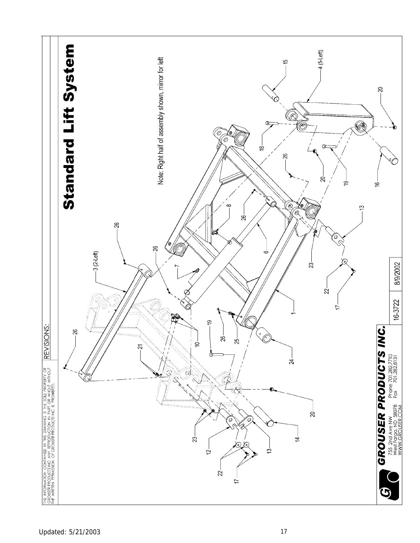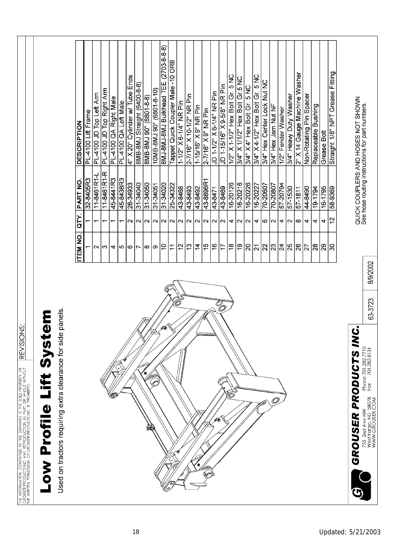| THE INFORMATION CONTAINED IN THIS DRAWING IS THE SOLE PROPERTY OF | USERDUSER PRODUCTS INC ANY REPRODUCTION IN PART OR WHOLE WITHOUT |                                                              |  |
|-------------------------------------------------------------------|------------------------------------------------------------------|--------------------------------------------------------------|--|
|                                                                   |                                                                  | THE WRITEN PERMISSION OF GROUSER PRODUCTS INC IS PROHIBITED. |  |
|                                                                   |                                                                  |                                                              |  |
|                                                                   |                                                                  |                                                              |  |
|                                                                   |                                                                  |                                                              |  |
|                                                                   |                                                                  |                                                              |  |
|                                                                   |                                                                  |                                                              |  |
|                                                                   |                                                                  |                                                              |  |
|                                                                   |                                                                  |                                                              |  |
|                                                                   |                                                                  |                                                              |  |
|                                                                   |                                                                  |                                                              |  |

REVISIONS:

Low Profile Lift System

Used on tractors requiring extra clearance for side panels.

| 32-8405R3 | $\sqrt{1 - 8461R1}$ | 11-8461R1-<br>45-8441R3 |   | 45-8438R3 | 26-34933<br>31-34040 |        | 31-34050 | $31 - 34051$      | 31-34020 | 25-34322    | 43-8466           | 43-8493                 | 43-8492           | 43-8896R1         | 43-8471           | 43-8469        | 16-20126       | 16-20216 | 16-20226<br>16-2027 |                | 70-20607 | 70-20807          | 57-20794 | $\frac{657-150}{2}$                                                                                                                         | 57-1811  | 0678-77 | 19-1794                  | $16 - 1795$ |
|-----------|---------------------|-------------------------|---|-----------|----------------------|--------|----------|-------------------|----------|-------------|-------------------|-------------------------|-------------------|-------------------|-------------------|----------------|----------------|----------|---------------------|----------------|----------|-------------------|----------|---------------------------------------------------------------------------------------------------------------------------------------------|----------|---------|--------------------------|-------------|
| ٣         |                     | ᡪ                       |   | ᡪ         | $\sim$               | $\sim$ | $\sim$   | $\mathbf{\Omega}$ | $\sim$   | $\sim$      | $\mathbf{\Omega}$ | $\overline{\mathsf{N}}$ | $\mathbf{\Omega}$ | $\mathbf{\Omega}$ | $\mathbf{\Omega}$ | $\sim$         | 4              | Z        | $\mathbf{\Omega}$   | 4              | ဖ        | $\mathbf{\Omega}$ | 4        | $\mathbf{\Omega}$                                                                                                                           | $\infty$ | 4       | 4                        | 4           |
| ᡪ         | $\mathbf{\sim}$     | က                       | 4 | Ю         | ဖ                    | Ľ      | ∞        | თ                 | 9        | $\tilde{L}$ | 5                 | $\frac{3}{2}$           | $\overline{4}$    | 40                | $\frac{6}{5}$     | $\overline{1}$ | $\frac{8}{18}$ | စ္       | $\overline{5}$      | $\overline{2}$ |          |                   |          | $\frac{1}{2}$ $\frac{1}{2}$ $\frac{1}{2}$ $\frac{1}{2}$ $\frac{1}{2}$ $\frac{1}{2}$ $\frac{1}{2}$ $\frac{1}{2}$ $\frac{1}{2}$ $\frac{1}{2}$ |          | 77      | $ \mathbb{R} \mathbb{R}$ |             |
|           |                     |                         | G |           |                      |        | ø        |                   | (O       |             |                   |                         | ۹                 | Ć                 | ∕                 | <b>SO</b>      |                |          |                     |                | لکه      | Ò                 |          |                                                                                                                                             |          |         |                          |             |

8MJ-8MJ-8MJ Bulkhead TEE (2703-8-8-8) Tappet Quick Coupler Male -10 ORB

10MB-8MJ 90° (6801-8-10)

(8-8-1089) <sub>o</sub>06 PN8-8N8

4" X 20" Cylinder w/ Tube Ends

PL-4100 JD Top Right Arm

 $\overline{R}$ 

PL-4100 QA Right Male

PL-4100 QA Left Male

PL-4100 JD Top Left Arm

PL-4100 Lift Frame **DESCRIPTION** 

QTY. PART NO.

**ITEM NO.** 

8MB-8MJ Straight (6400-8-8)

QUICK COUPLERS AND HOSES NOT SHOWN<br>See hose routing instructions for part numbers.

Straight 1/8" NPT Grease Fitting

58-9369

 $\tilde{a}$ 4

 $\overline{\circ}$ 

2" X 14 Gauge Machine Washer

3/4" Heavy Duty Washer

Non-Rotating Pin Spacer

Replaceable Bushing

Grease Bolt

3/4" X 4-1/2" Hex Bolt Gr. 5 NC

3/4" X 4" Hex Bolt Gr. 5 NC

3/4" Hex Center Lock Nut NC

3/4" Hex Jam Nut NF

1/2" Fender Washer

 $1/2"$  X 1-1/2" Hex Bolt Gr. 5 NC 3/4" X 1/1/2" Hex Bolt Gr.5 NC

JD 1-15/16" X9-5/8" NR Pin

JD 1-1/2" X 6-1/4" NR Pin

2-7/16" X 10-1/2" NR Pin

1-15/16" X 9" NR Pin 2-7/16" X 9" NR Pin

1-1/2" X6-1/4" NR Pin

8/9/2002 63-3723

GROUSER PRODUCTS INC. Phone 701.282.7710<br>Fax 701.282.8131 755 2nd Ave NW<br>West Fargo, ND 58078<br>WWW.GROUSER.COM

G)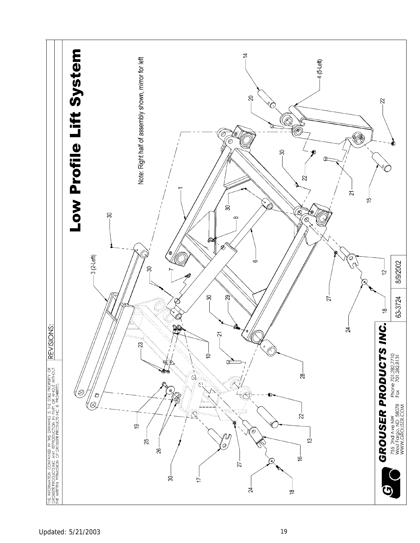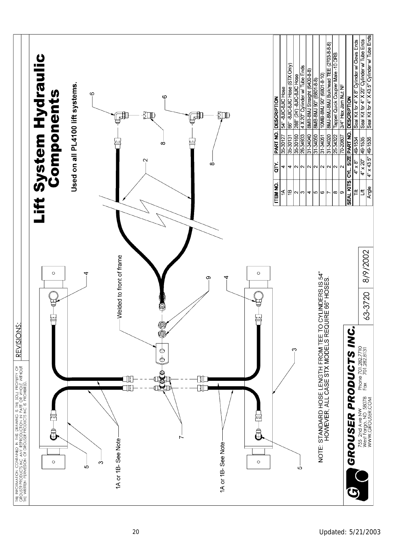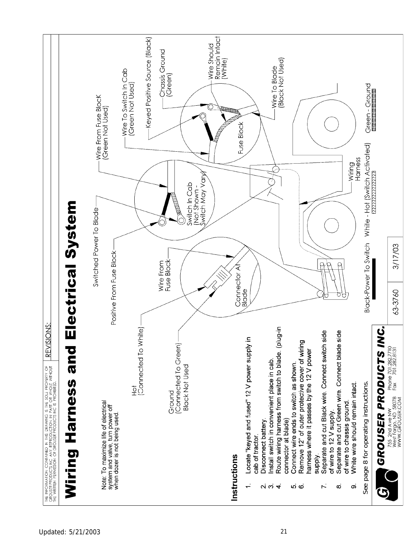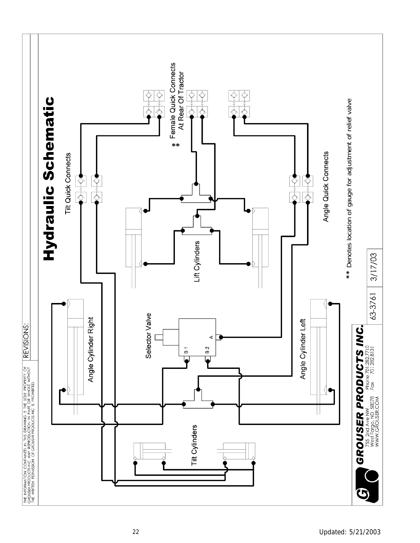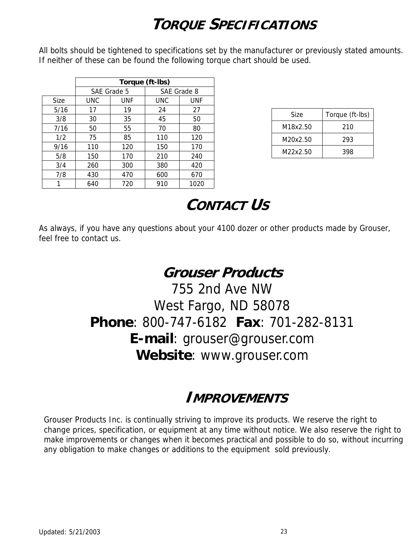# **TORQUE SPECIFICATIONS**

All bolts should be tightened to specifications set by the manufacturer or previously stated amounts. If neither of these can be found the following torque chart should be used.

|             | Torque (ft-lbs) |     |     |             |  |  |  |  |  |  |
|-------------|-----------------|-----|-----|-------------|--|--|--|--|--|--|
|             | SAE Grade 5     |     |     | SAE Grade 8 |  |  |  |  |  |  |
| <b>Size</b> | UNC             | UNF | UNC | UNF         |  |  |  |  |  |  |
| 5/16        | 17              | 19  | 24  | 27          |  |  |  |  |  |  |
| 3/8         | 30              | 35  | 45  | 50          |  |  |  |  |  |  |
| 7/16        | 50              | 55  | 70  | 80          |  |  |  |  |  |  |
| 1/2         | 75              | 85  | 110 | 120         |  |  |  |  |  |  |
| 9/16        | 110             | 120 | 150 | 170         |  |  |  |  |  |  |
| 5/8         | 150             | 170 | 210 | 240         |  |  |  |  |  |  |
| 3/4         | 260             | 300 | 380 | 420         |  |  |  |  |  |  |
| 7/8         | 430             | 470 | 600 | 670         |  |  |  |  |  |  |
|             | 640             | 720 | 910 | 1020        |  |  |  |  |  |  |

| Size     | Torque (ft-lbs) |
|----------|-----------------|
| M18x2.50 | 210             |
| M20x2.50 | 293             |
| M22x2.50 | 398             |

# **CONTACT US**

As always, if you have any questions about your 4100 dozer or other products made by Grouser, feel free to contact us.

### **Grouser Products**

755 2nd Ave NW West Fargo, ND 58078 **Phone**: 800-747-6182 **Fax**: 701-282-8131 **E-mail**: grouser@grouser.com **Website**: www.grouser.com

### **IMPROVEMENTS**

Grouser Products Inc. is continually striving to improve its products. We reserve the right to change prices, specification, or equipment at any time without notice. We also reserve the right to make improvements or changes when it becomes practical and possible to do so, without incurring any obligation to make changes or additions to the equipment sold previously.